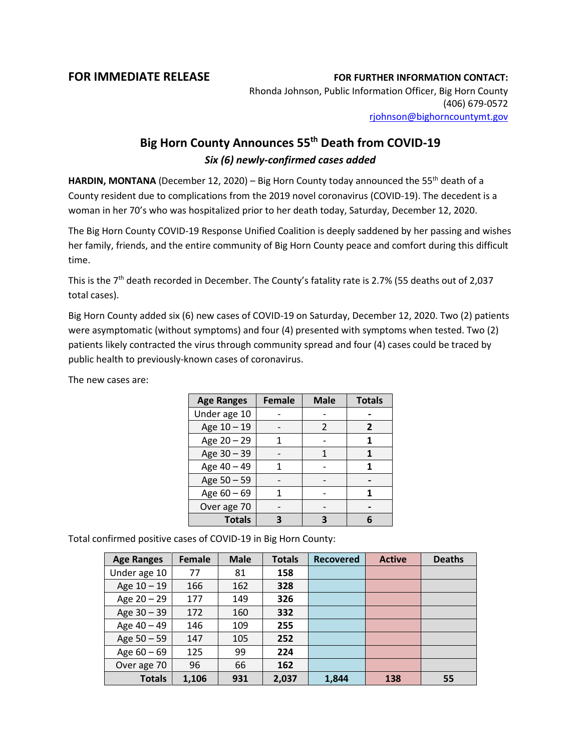## **FOR IMMEDIATE RELEASE FOR FURTHER INFORMATION CONTACT:**

Rhonda Johnson, Public Information Officer, Big Horn County (406) 679-0572 [rjohnson@bighorncountymt.gov](mailto:rjohnson@bighorncountymt.gov)

## **Big Horn County Announces 55th Death from COVID-19** *Six (6) newly-confirmed cases added*

**HARDIN, MONTANA** (December 12, 2020) – Big Horn County today announced the 55<sup>th</sup> death of a County resident due to complications from the 2019 novel coronavirus (COVID-19). The decedent is a woman in her 70's who was hospitalized prior to her death today, Saturday, December 12, 2020.

The Big Horn County COVID-19 Response Unified Coalition is deeply saddened by her passing and wishes her family, friends, and the entire community of Big Horn County peace and comfort during this difficult time.

This is the 7<sup>th</sup> death recorded in December. The County's fatality rate is 2.7% (55 deaths out of 2,037 total cases).

Big Horn County added six (6) new cases of COVID-19 on Saturday, December 12, 2020. Two (2) patients were asymptomatic (without symptoms) and four (4) presented with symptoms when tested. Two (2) patients likely contracted the virus through community spread and four (4) cases could be traced by public health to previously-known cases of coronavirus.

| <b>Age Ranges</b> | <b>Female</b> | <b>Male</b> | <b>Totals</b> |
|-------------------|---------------|-------------|---------------|
| Under age 10      |               |             |               |
| Age 10 - 19       |               | 2           | 2             |
| Age 20 - 29       |               |             |               |
| Age 30 - 39       |               | 1           |               |
| Age 40 - 49       |               |             |               |
| Age 50 - 59       |               |             |               |
| Age 60 - 69       |               |             |               |
| Over age 70       |               |             |               |
| <b>Totals</b>     |               |             |               |

The new cases are:

Total confirmed positive cases of COVID-19 in Big Horn County:

| <b>Age Ranges</b> | <b>Female</b> | <b>Male</b> | <b>Totals</b> | <b>Recovered</b> | <b>Active</b> | <b>Deaths</b> |
|-------------------|---------------|-------------|---------------|------------------|---------------|---------------|
| Under age 10      | 77            | 81          | 158           |                  |               |               |
| Age $10 - 19$     | 166           | 162         | 328           |                  |               |               |
| Age 20 - 29       | 177           | 149         | 326           |                  |               |               |
| Age 30 - 39       | 172           | 160         | 332           |                  |               |               |
| Age 40 - 49       | 146           | 109         | 255           |                  |               |               |
| Age $50 - 59$     | 147           | 105         | 252           |                  |               |               |
| Age $60 - 69$     | 125           | 99          | 224           |                  |               |               |
| Over age 70       | 96            | 66          | 162           |                  |               |               |
| <b>Totals</b>     | 1,106         | 931         | 2,037         | 1,844            | 138           | 55            |